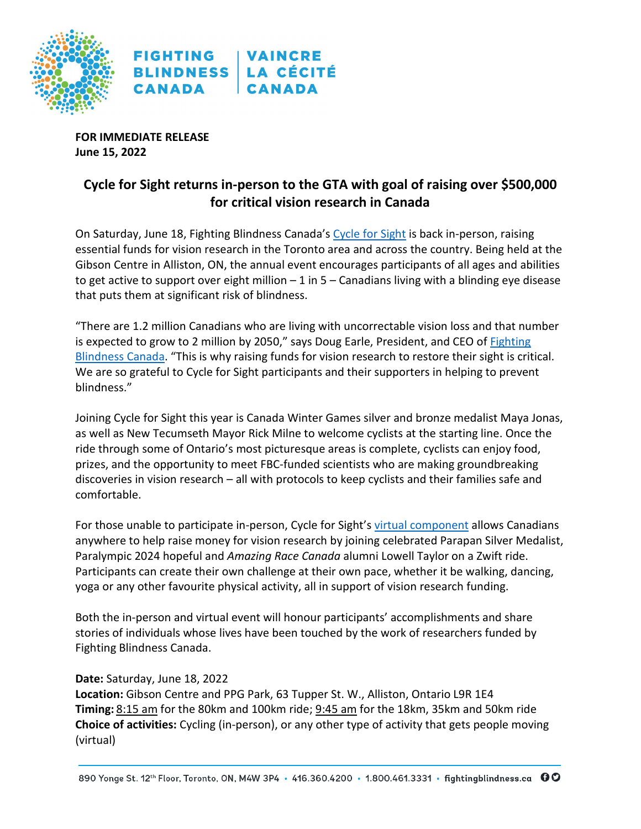

**FOR IMMEDIATE RELEASE June 15, 2022**

# **Cycle for Sight returns in-person to the GTA with goal of raising over \$500,000 for critical vision research in Canada**

On Saturday, June 18, Fighting Blindness Canada's [Cycle for Sight](https://fightingblindness.akaraisin.com/ui/cycleforsight) is back in-person, raising essential funds for vision research in the Toronto area and across the country. Being held at the Gibson Centre in Alliston, ON, the annual event encourages participants of all ages and abilities to get active to support over eight million  $-1$  in  $5$  – Canadians living with a blinding eye disease that puts them at significant risk of blindness.

"There are 1.2 million Canadians who are living with uncorrectable vision loss and that number is expected to grow to 2 million by 2050," says Doug Earle, President, and CEO of [Fighting](https://www.fightingblindness.ca/)  [Blindness Canada.](https://www.fightingblindness.ca/) "This is why raising funds for vision research to restore their sight is critical. We are so grateful to Cycle for Sight participants and their supporters in helping to prevent blindness."

Joining Cycle for Sight this year is Canada Winter Games silver and bronze medalist Maya Jonas, as well as New Tecumseth Mayor Rick Milne to welcome cyclists at the starting line. Once the ride through some of Ontario's most picturesque areas is complete, cyclists can enjoy food, prizes, and the opportunity to meet FBC-funded scientists who are making groundbreaking discoveries in vision research – all with protocols to keep cyclists and their families safe and comfortable.

For those unable to participate in-person, Cycle for Sight'[s virtual component](https://fightingblindness.akaraisin.com/ui/cycleforsight/g/33094) allows Canadians anywhere to help raise money for vision research by joining celebrated Parapan Silver Medalist, Paralympic 2024 hopeful and *Amazing Race Canada* alumni Lowell Taylor on a Zwift ride. Participants can create their own challenge at their own pace, whether it be walking, dancing, yoga or any other favourite physical activity, all in support of vision research funding.

Both the in-person and virtual event will honour participants' accomplishments and share stories of individuals whose lives have been touched by the work of researchers funded by Fighting Blindness Canada.

## **Date:** Saturday, June 18, 2022

**Location:** Gibson Centre and PPG Park, 63 Tupper St. W., Alliston, Ontario L9R 1E4 **Timing:** 8:15 am for the 80km and 100km ride; 9:45 am for the 18km, 35km and 50km ride **Choice of activities:** Cycling (in-person), or any other type of activity that gets people moving (virtual)